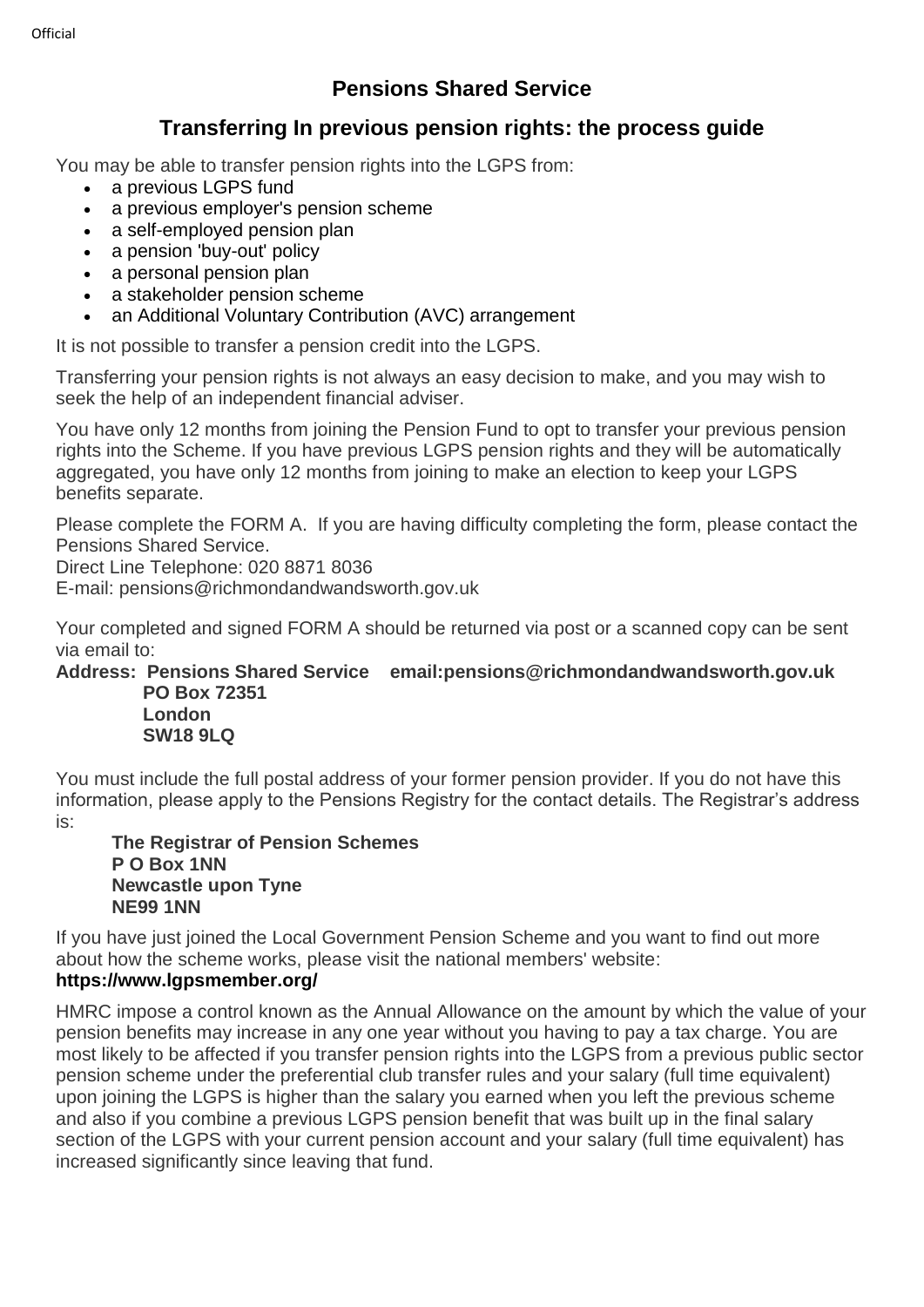# **Pensions Shared Service**

## **Transferring In previous pension rights: the process guide**

You may be able to transfer pension rights into the LGPS from:

- a previous LGPS fund
- a previous employer's pension scheme
- a self-employed pension plan
- a pension 'buy-out' policy
- a personal pension plan
- a stakeholder pension scheme
- an Additional Voluntary Contribution (AVC) arrangement

It is not possible to transfer a pension credit into the LGPS.

Transferring your pension rights is not always an easy decision to make, and you may wish to seek the help of an independent financial adviser.

You have only 12 months from joining the Pension Fund to opt to transfer your previous pension rights into the Scheme. If you have previous LGPS pension rights and they will be automatically aggregated, you have only 12 months from joining to make an election to keep your LGPS benefits separate.

Please complete the FORM A. If you are having difficulty completing the form, please contact the Pensions Shared Service.

Direct Line Telephone: 020 8871 8036

E-mail: pensions@richmondandwandsworth.gov.uk

Your completed and signed FORM A should be returned via post or a scanned copy can be sent via email to:

#### **Address: Pensions Shared Service email:pensions@richmondandwandsworth.gov.uk PO Box 72351**

 **London SW18 9LQ**

You must include the full postal address of your former pension provider. If you do not have this information, please apply to the Pensions Registry for the contact details. The Registrar's address is:

**The Registrar of Pension Schemes P O Box 1NN Newcastle upon Tyne NE99 1NN**

If you have just joined the Local Government Pension Scheme and you want to find out more about how the scheme works, please visit the national members' website:

### **https://www.lgpsmember.org/**

HMRC impose a control known as the Annual Allowance on the amount by which the value of your pension benefits may increase in any one year without you having to pay a tax charge. You are most likely to be affected if you transfer pension rights into the LGPS from a previous public sector pension scheme under the preferential club transfer rules and your salary (full time equivalent) upon joining the LGPS is higher than the salary you earned when you left the previous scheme and also if you combine a previous LGPS pension benefit that was built up in the final salary section of the LGPS with your current pension account and your salary (full time equivalent) has increased significantly since leaving that fund.